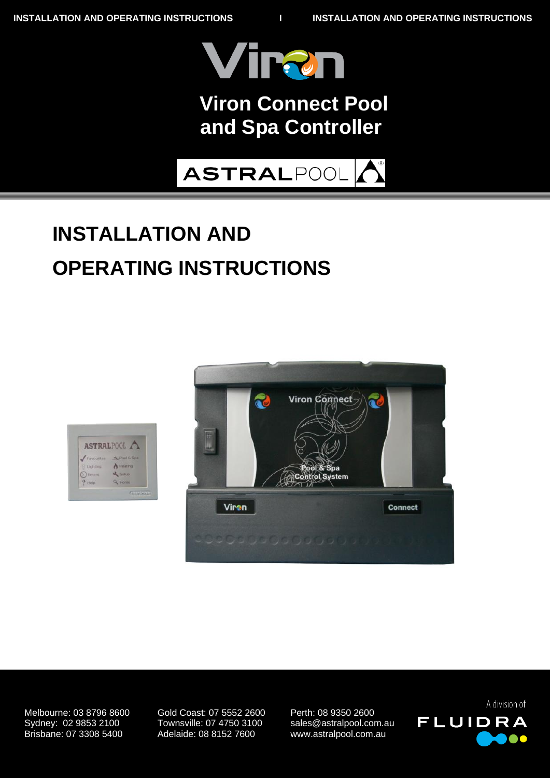

## **Bolero ND VII UIT COMPUTE FUOR Viron Connect Pool and Spa Controller**



# **INSTALLATION AND OPERATING INSTRUCTIONS**





10/11/2010 Brisbane: 07 3308 5400 Adelaide: 08 8152 7600 www.astralpool.com.au Melbourne: 03 8796 8600 Gold Coast: 07 5552 2600 Perth: 08 9350 2600 Sydney: 02 9853 2100 Townsville: 07 4750 3100 sales@astralpool.com.au

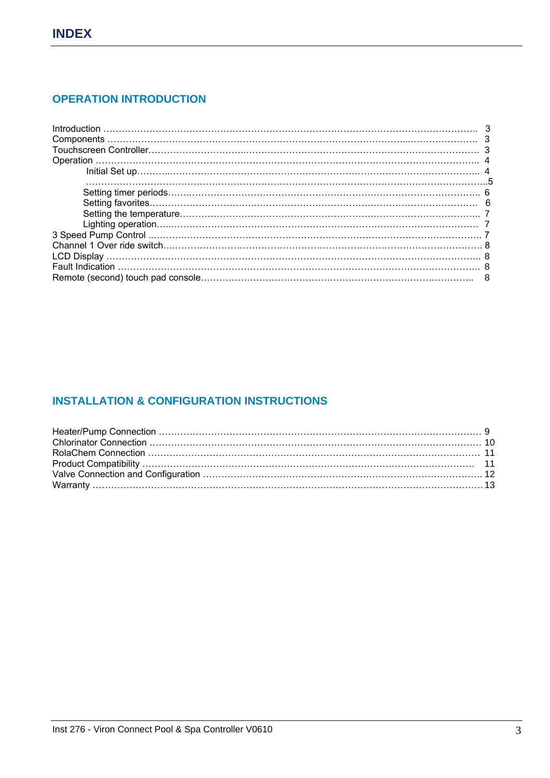## **OPERATION INTRODUCTION**

## **INSTALLATION & CONFIGURATION INSTRUCTIONS**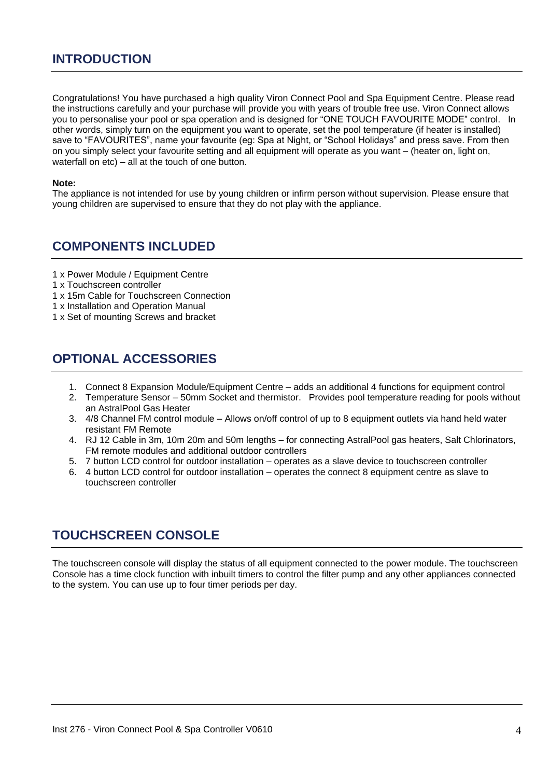## **INTRODUCTION**

Congratulations! You have purchased a high quality Viron Connect Pool and Spa Equipment Centre. Please read the instructions carefully and your purchase will provide you with years of trouble free use. Viron Connect allows you to personalise your pool or spa operation and is designed for "ONE TOUCH FAVOURITE MODE" control. In other words, simply turn on the equipment you want to operate, set the pool temperature (if heater is installed) save to "FAVOURITES", name your favourite (eg: Spa at Night, or "School Holidays" and press save. From then on you simply select your favourite setting and all equipment will operate as you want – (heater on, light on, waterfall on etc) – all at the touch of one button.

#### **Note:**

The appliance is not intended for use by young children or infirm person without supervision. Please ensure that young children are supervised to ensure that they do not play with the appliance.

## **COMPONENTS INCLUDED**

- 1 x Power Module / Equipment Centre
- 1 x Touchscreen controller
- 1 x 15m Cable for Touchscreen Connection
- 1 x Installation and Operation Manual
- 1 x Set of mounting Screws and bracket

## **OPTIONAL ACCESSORIES**

- 1. Connect 8 Expansion Module/Equipment Centre adds an additional 4 functions for equipment control
- 2. Temperature Sensor 50mm Socket and thermistor. Provides pool temperature reading for pools without an AstralPool Gas Heater
- 3. 4/8 Channel FM control module Allows on/off control of up to 8 equipment outlets via hand held water resistant FM Remote
- 4. RJ 12 Cable in 3m, 10m 20m and 50m lengths for connecting AstralPool gas heaters, Salt Chlorinators, FM remote modules and additional outdoor controllers
- 5. 7 button LCD control for outdoor installation operates as a slave device to touchscreen controller
- 6. 4 button LCD control for outdoor installation operates the connect 8 equipment centre as slave to touchscreen controller

## **TOUCHSCREEN CONSOLE**

The touchscreen console will display the status of all equipment connected to the power module. The touchscreen Console has a time clock function with inbuilt timers to control the filter pump and any other appliances connected to the system. You can use up to four timer periods per day.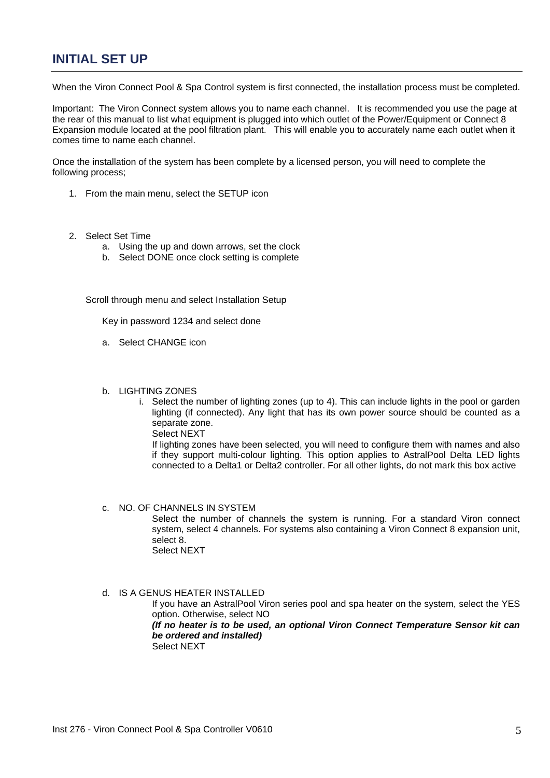## **INITIAL SET UP**

When the Viron Connect Pool & Spa Control system is first connected, the installation process must be completed.

Important: The Viron Connect system allows you to name each channel. It is recommended you use the page at the rear of this manual to list what equipment is plugged into which outlet of the Power/Equipment or Connect 8 Expansion module located at the pool filtration plant. This will enable you to accurately name each outlet when it comes time to name each channel.

Once the installation of the system has been complete by a licensed person, you will need to complete the following process;

- 1. From the main menu, select the SETUP icon
- 2. Select Set Time
	- a. Using the up and down arrows, set the clock
	- b. Select DONE once clock setting is complete

3. Scroll through menu and select Installation Setup

Key in password 1234 and select done

- a. Select CHANGE icon
- b. LIGHTING ZONES
	- i. Select the number of lighting zones (up to 4). This can include lights in the pool or garden lighting (if connected). Any light that has its own power source should be counted as a separate zone.

Select NEXT If lighting zones have been selected, you will need to configure them with names and also if they support multi-colour lighting. This option applies to AstralPool Delta LED lights connected to a Delta1 or Delta2 controller. For all other lights, do not mark this box active.

#### c. NO. OF CHANNELS IN SYSTEM

Select the number of channels the system is running. For a standard Viron connect system, select 4 channels. For systems also containing a Viron Connect 8 expansion unit, select 8. Select NEXT

# d. IS A GENUS HEATER INSTALLED

If you have an AstralPool Viron series pool and spa heater on the system, select the YES option. Otherwise, select NO.

#### *ii. (If no heater is to be used, an optional Viron Connect Temperature Sensor kit can be ordered and installed)*

Select NEXT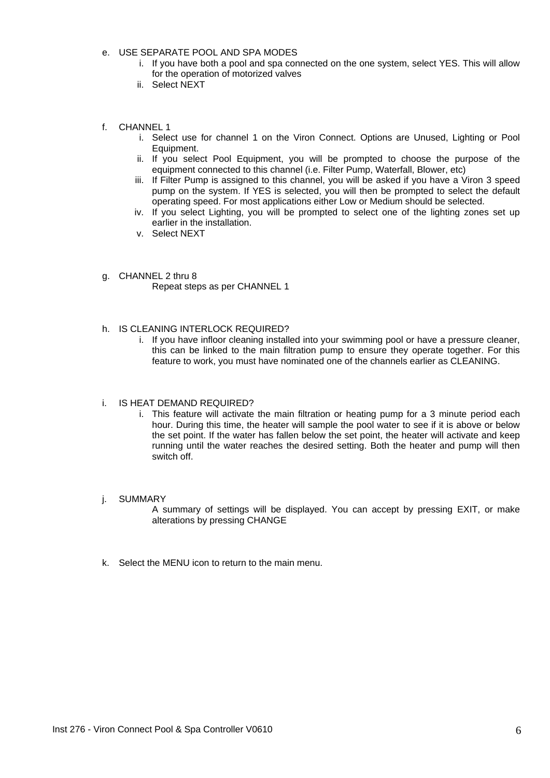- e. USE SEPARATE POOL AND SPA MODES
	- i. If you have both a pool and spa connected on the one system, select YES. This will allow for the operation of motorized valves
	- ii. Select NEXT
- f. CHANNEL 1
	- i. Select use for channel 1 on the Viron Connect. Options are Unused, Lighting or Pool Equipment.
	- ii. If you select Pool Equipment, you will be prompted to choose the purpose of the equipment connected to this channel (i.e. Filter Pump, Waterfall, Blower, etc)
	- iii. If Filter Pump is assigned to this channel, you will be asked if you have a Viron 3 speed pump on the system. If YES is selected, you will then be prompted to select the default operating speed. For most applications either Low or Medium should be selected.
	- iv. If you select Lighting, you will be prompted to select one of the lighting zones set up earlier in the installation.
	- v. Select NEXT
- g. CHANNEL 2 thru 8 Repeat steps as per CHANNEL 1
- h. IS CLEANING INTERLOCK REQUIRED?
	- i. If you have infloor cleaning installed into your swimming pool or have a pressure cleaner, this can be linked to the main filtration pump to ensure they operate together. For this feature to work, you must have nominated one of the channels earlier as CLEANING.

#### i. IS HEAT DEMAND REQUIRED?

- i. This feature will activate the main filtration or heating pump for a 3 minute period each hour. During this time, the heater will sample the pool water to see if it is above or below the set point. If the water has fallen below the set point, the heater will activate and keep running until the water reaches the desired setting. Both the heater and pump will then switch off.
- j. SUMMARY

A summary of settings will be displayed. You can accept by pressing EXIT, or make alterations by pressing CHANGE

k. Select the MENU icon to return to the main menu.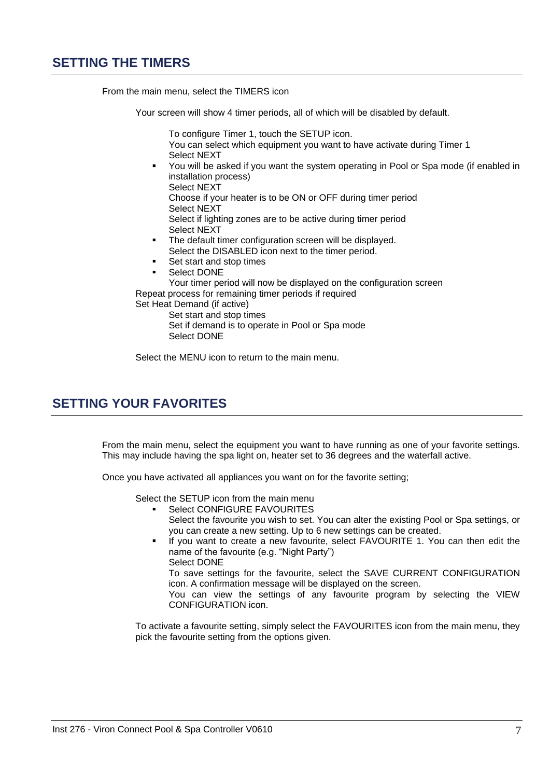## **SETTING THE TIMERS**

From the main menu, select the TIMERS icon

Your screen will show 4 timer periods, all of which will be disabled by default.

 To configure Timer 1, touch the SETUP icon. You can select which equipment you want to have activate during Timer 1 Select NEXT

 You will be asked if you want the system operating in Pool or Spa mode (if enabled in installation process)

Select NEXT

 Choose if your heater is to be ON or OFF during timer period Select NEXT

 Select if lighting zones are to be active during timer period Select NEXT

- **The default timer configuration screen will be displayed.** Select the DISABLED icon next to the timer period.
- Set start and stop times
- Select DONE Your timer period will now be displayed on the configuration screen

Repeat process for remaining timer periods if required

Set Heat Demand (if active)

 Set start and stop times Set if demand is to operate in Pool or Spa mode Select DONE

Select the MENU icon to return to the main menu.

## **SETTING YOUR FAVORITES**

 From the main menu, select the equipment you want to have running as one of your favorite settings. This may include having the spa light on, heater set to 36 degrees and the waterfall active.

Once you have activated all appliances you want on for the favorite setting;

Select the SETUP icon from the main menu

- Select CONFIGURE FAVOURITES Select the favourite you wish to set. You can alter the existing Pool or Spa settings, or you can create a new setting. Up to 6 new settings can be created.
- If you want to create a new favourite, select FAVOURITE 1. You can then edit the name of the favourite (e.g. "Night Party") Select DONE

 To save settings for the favourite, select the SAVE CURRENT CONFIGURATION icon. A confirmation message will be displayed on the screen.

 You can view the settings of any favourite program by selecting the VIEW CONFIGURATION icon.

To activate a favourite setting, simply select the FAVOURITES icon from the main menu, they pick the favourite setting from the options given.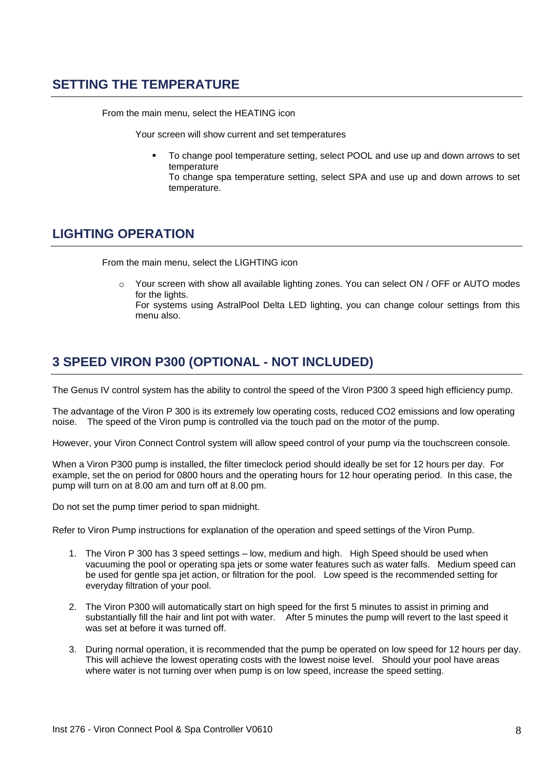## **SETTING THE TEMPERATURE**

From the main menu, select the HEATING icon

Your screen will show current and set temperatures

 To change pool temperature setting, select POOL and use up and down arrows to set temperature

 To change spa temperature setting, select SPA and use up and down arrows to set temperature.

## **LIGHTING OPERATION**

From the main menu, select the LIGHTING icon

o Your screen with show all available lighting zones. You can select ON / OFF or AUTO modes for the lights. For systems using AstralPool Delta LED lighting, you can change colour settings from this

# **3 SPEED VIRON P300 (OPTIONAL - NOT INCLUDED)**

The Genus IV control system has the ability to control the speed of the Viron P300 3 speed high efficiency pump.

The advantage of the Viron P 300 is its extremely low operating costs, reduced CO2 emissions and low operating noise. The speed of the Viron pump is controlled via the touch pad on the motor of the pump.

However, your Viron Connect Control system will allow speed control of your pump via the touchscreen console.

When a Viron P300 pump is installed, the filter timeclock period should ideally be set for 12 hours per day. For example, set the on period for 0800 hours and the operating hours for 12 hour operating period. In this case, the pump will turn on at 8.00 am and turn off at 8.00 pm.

Do not set the pump timer period to span midnight.

menu also.

Refer to Viron Pump instructions for explanation of the operation and speed settings of the Viron Pump.

- 1. The Viron P 300 has 3 speed settings low, medium and high. High Speed should be used when vacuuming the pool or operating spa jets or some water features such as water falls. Medium speed can be used for gentle spa jet action, or filtration for the pool. Low speed is the recommended setting for everyday filtration of your pool.
- 2. The Viron P300 will automatically start on high speed for the first 5 minutes to assist in priming and substantially fill the hair and lint pot with water. After 5 minutes the pump will revert to the last speed it was set at before it was turned off.
- 3. During normal operation, it is recommended that the pump be operated on low speed for 12 hours per day. This will achieve the lowest operating costs with the lowest noise level. Should your pool have areas where water is not turning over when pump is on low speed, increase the speed setting.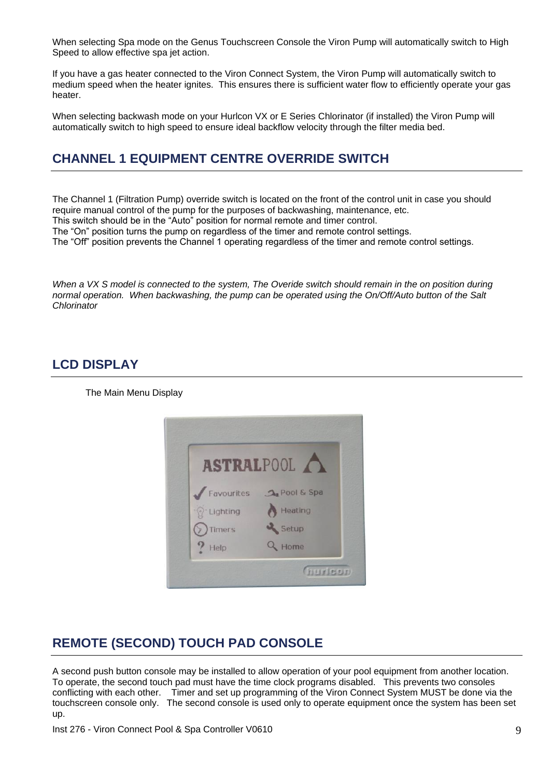When selecting Spa mode on the Genus Touchscreen Console the Viron Pump will automatically switch to High Speed to allow effective spa jet action.

If you have a gas heater connected to the Viron Connect System, the Viron Pump will automatically switch to medium speed when the heater ignites. This ensures there is sufficient water flow to efficiently operate your gas heater.

When selecting backwash mode on your Hurlcon VX or E Series Chlorinator (if installed) the Viron Pump will automatically switch to high speed to ensure ideal backflow velocity through the filter media bed.

# **CHANNEL 1 EQUIPMENT CENTRE OVERRIDE SWITCH**

The Channel 1 (Filtration Pump) override switch is located on the front of the control unit in case you should require manual control of the pump for the purposes of backwashing, maintenance, etc.

This switch should be in the "Auto" position for normal remote and timer control.

The "On" position turns the pump on regardless of the timer and remote control settings.

The "Off" position prevents the Channel 1 operating regardless of the timer and remote control settings.

*When a VX S model is connected to the system, The Overide switch should remain in the on position during normal operation. When backwashing, the pump can be operated using the On/Off/Auto button of the Salt Chlorinator*

## **LCD DISPLAY**

The Main Menu Display



# **REMOTE (SECOND) TOUCH PAD CONSOLE**

A second push button console may be installed to allow operation of your pool equipment from another location. To operate, the second touch pad must have the time clock programs disabled. This prevents two consoles conflicting with each other. Timer and set up programming of the Viron Connect System MUST be done via the touchscreen console only. The second console is used only to operate equipment once the system has been set up.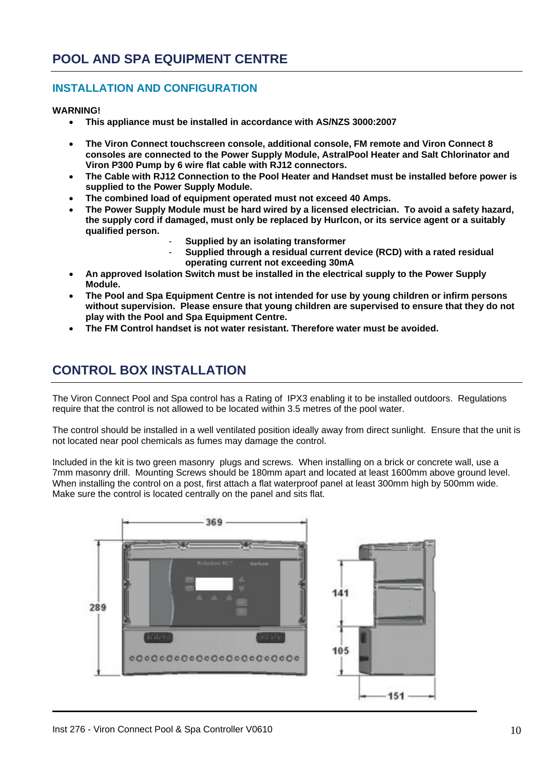## **INSTALLATION AND CONFIGURATION**

**WARNING!**

- **This appliance must be installed in accordance with AS/NZS 3000:2007**
- **The Viron Connect touchscreen console, additional console, FM remote and Viron Connect 8 consoles are connected to the Power Supply Module, AstralPool Heater and Salt Chlorinator and Viron P300 Pump by 6 wire flat cable with RJ12 connectors.**
- **The Cable with RJ12 Connection to the Pool Heater and Handset must be installed before power is supplied to the Power Supply Module.**
- **The combined load of equipment operated must not exceed 40 Amps.**
- **The Power Supply Module must be hard wired by a licensed electrician. To avoid a safety hazard, the supply cord if damaged, must only be replaced by Hurlcon, or its service agent or a suitably qualified person.**
	- **Supplied by an isolating transformer**
	- **Supplied through a residual current device (RCD) with a rated residual operating current not exceeding 30mA**
- **An approved Isolation Switch must be installed in the electrical supply to the Power Supply Module.**
- **The Pool and Spa Equipment Centre is not intended for use by young children or infirm persons without supervision. Please ensure that young children are supervised to ensure that they do not play with the Pool and Spa Equipment Centre.**
- **The FM Control handset is not water resistant. Therefore water must be avoided.**

# **CONTROL BOX INSTALLATION**

The Viron Connect Pool and Spa control has a Rating of IPX3 enabling it to be installed outdoors. Regulations require that the control is not allowed to be located within 3.5 metres of the pool water.

The control should be installed in a well ventilated position ideally away from direct sunlight. Ensure that the unit is not located near pool chemicals as fumes may damage the control.

Included in the kit is two green masonry plugs and screws. When installing on a brick or concrete wall, use a 7mm masonry drill. Mounting Screws should be 180mm apart and located at least 1600mm above ground level. When installing the control on a post, first attach a flat waterproof panel at least 300mm high by 500mm wide. Make sure the control is located centrally on the panel and sits flat.

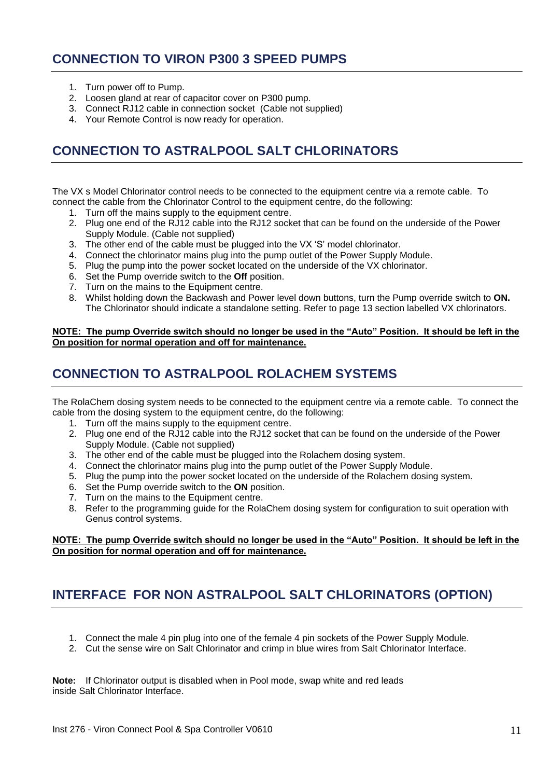## **CONNECTION TO VIRON P300 3 SPEED PUMPS**

- 1. Turn power off to Pump.
- 2. Loosen gland at rear of capacitor cover on P300 pump.
- 3. Connect RJ12 cable in connection socket (Cable not supplied)
- 4. Your Remote Control is now ready for operation.

# **CONNECTION TO ASTRALPOOL SALT CHLORINATORS**

The VX s Model Chlorinator control needs to be connected to the equipment centre via a remote cable. To connect the cable from the Chlorinator Control to the equipment centre, do the following:

- 1. Turn off the mains supply to the equipment centre.
- 2. Plug one end of the RJ12 cable into the RJ12 socket that can be found on the underside of the Power Supply Module. (Cable not supplied)
- 3. The other end of the cable must be plugged into the VX "S" model chlorinator.
- 4. Connect the chlorinator mains plug into the pump outlet of the Power Supply Module.
- 5. Plug the pump into the power socket located on the underside of the VX chlorinator.
- 6. Set the Pump override switch to the **Off** position.
- 7. Turn on the mains to the Equipment centre.
- 8. Whilst holding down the Backwash and Power level down buttons, turn the Pump override switch to **ON.**  The Chlorinator should indicate a standalone setting. Refer to page 13 section labelled VX chlorinators.

#### **NOTE: The pump Override switch should no longer be used in the "Auto" Position. It should be left in the On position for normal operation and off for maintenance.**

# **CONNECTION TO ASTRALPOOL ROLACHEM SYSTEMS**

The RolaChem dosing system needs to be connected to the equipment centre via a remote cable. To connect the cable from the dosing system to the equipment centre, do the following:

- 1. Turn off the mains supply to the equipment centre.
- 2. Plug one end of the RJ12 cable into the RJ12 socket that can be found on the underside of the Power Supply Module. (Cable not supplied)
- 3. The other end of the cable must be plugged into the Rolachem dosing system.
- 4. Connect the chlorinator mains plug into the pump outlet of the Power Supply Module.
- 5. Plug the pump into the power socket located on the underside of the Rolachem dosing system.
- 6. Set the Pump override switch to the **ON** position.
- 7. Turn on the mains to the Equipment centre.
- 8. Refer to the programming guide for the RolaChem dosing system for configuration to suit operation with Genus control systems.

#### **NOTE: The pump Override switch should no longer be used in the "Auto" Position. It should be left in the On position for normal operation and off for maintenance.**

# **INTERFACE FOR NON ASTRALPOOL SALT CHLORINATORS (OPTION)**

- 1. Connect the male 4 pin plug into one of the female 4 pin sockets of the Power Supply Module.
- 2. Cut the sense wire on Salt Chlorinator and crimp in blue wires from Salt Chlorinator Interface.

**Note:** If Chlorinator output is disabled when in Pool mode, swap white and red leads inside Salt Chlorinator Interface.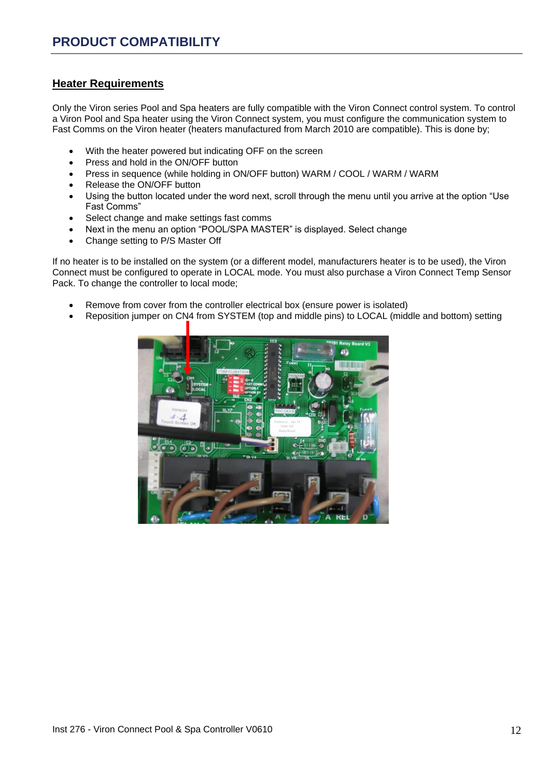#### **Heater Requirements**

Only the Viron series Pool and Spa heaters are fully compatible with the Viron Connect control system. To control a Viron Pool and Spa heater using the Viron Connect system, you must configure the communication system to Fast Comms on the Viron heater (heaters manufactured from March 2010 are compatible). This is done by;

- With the heater powered but indicating OFF on the screen
- Press and hold in the ON/OFF button
- Press in sequence (while holding in ON/OFF button) WARM / COOL / WARM / WARM
- Release the ON/OFF button
- Using the button located under the word next, scroll through the menu until you arrive at the option "Use Fast Comms"
- Select change and make settings fast comms
- Next in the menu an option "POOL/SPA MASTER" is displayed. Select change
- Change setting to P/S Master Off

If no heater is to be installed on the system (or a different model, manufacturers heater is to be used), the Viron Connect must be configured to operate in LOCAL mode. You must also purchase a Viron Connect Temp Sensor Pack. To change the controller to local mode;

- Remove from cover from the controller electrical box (ensure power is isolated)
- Reposition jumper on CN4 from SYSTEM (top and middle pins) to LOCAL (middle and bottom) setting

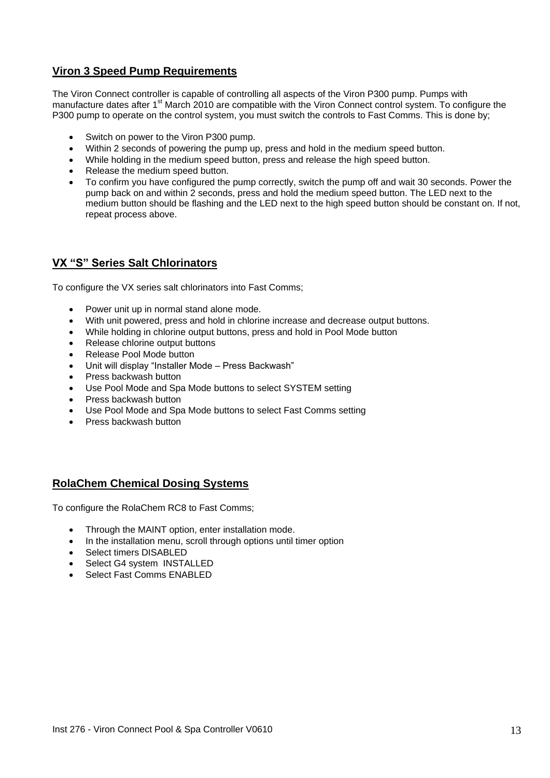#### **Viron 3 Speed Pump Requirements**

The Viron Connect controller is capable of controlling all aspects of the Viron P300 pump. Pumps with manufacture dates after 1<sup>st</sup> March 2010 are compatible with the Viron Connect control system. To configure the P300 pump to operate on the control system, you must switch the controls to Fast Comms. This is done by;

- Switch on power to the Viron P300 pump.
- Within 2 seconds of powering the pump up, press and hold in the medium speed button.
- While holding in the medium speed button, press and release the high speed button.
- Release the medium speed button.
- To confirm you have configured the pump correctly, switch the pump off and wait 30 seconds. Power the pump back on and within 2 seconds, press and hold the medium speed button. The LED next to the medium button should be flashing and the LED next to the high speed button should be constant on. If not, repeat process above.

#### **VX "S" Series Salt Chlorinators**

To configure the VX series salt chlorinators into Fast Comms;

- Power unit up in normal stand alone mode.
- With unit powered, press and hold in chlorine increase and decrease output buttons.
- While holding in chlorine output buttons, press and hold in Pool Mode button
- Release chlorine output buttons
- Release Pool Mode button
- Unit will display "Installer Mode Press Backwash"
- Press backwash button
- Use Pool Mode and Spa Mode buttons to select SYSTEM setting
- Press backwash button
- Use Pool Mode and Spa Mode buttons to select Fast Comms setting
- Press backwash button

#### **RolaChem Chemical Dosing Systems**

To configure the RolaChem RC8 to Fast Comms;

- Through the MAINT option, enter installation mode.
- In the installation menu, scroll through options until timer option
- Select timers DISABLED
- Select G4 system INSTALLED
- Select Fast Comms ENABLED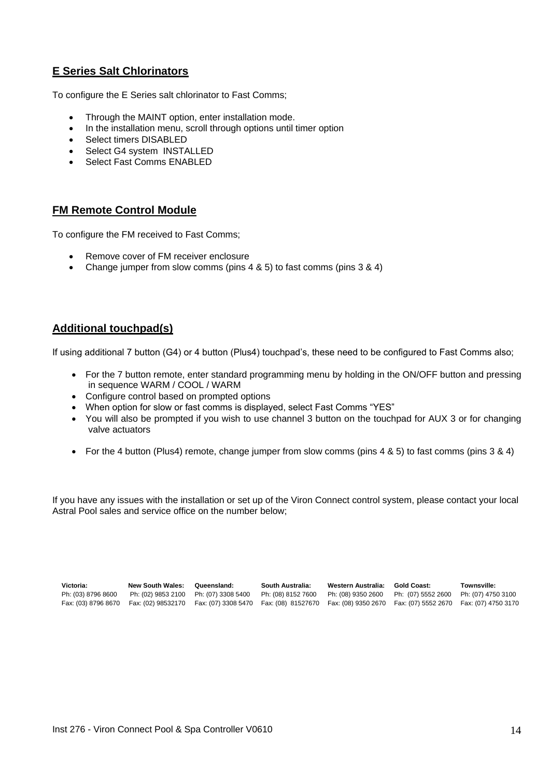## **E Series Salt Chlorinators**

To configure the E Series salt chlorinator to Fast Comms;

- Through the MAINT option, enter installation mode.
- In the installation menu, scroll through options until timer option
- Select timers DISABLED
- Select G4 system INSTALLED
- Select Fast Comms ENABLED

#### **FM Remote Control Module**

To configure the FM received to Fast Comms;

- Remove cover of FM receiver enclosure
- Change jumper from slow comms (pins 4 & 5) to fast comms (pins 3 & 4)

#### **Additional touchpad(s)**

If using additional 7 button (G4) or 4 button (Plus4) touchpad"s, these need to be configured to Fast Comms also;

- For the 7 button remote, enter standard programming menu by holding in the ON/OFF button and pressing in sequence WARM / COOL / WARM
- Configure control based on prompted options
- When option for slow or fast comms is displayed, select Fast Comms "YES"
- You will also be prompted if you wish to use channel 3 button on the touchpad for AUX 3 or for changing valve actuators
- For the 4 button (Plus4) remote, change jumper from slow comms (pins 4 & 5) to fast comms (pins 3 & 4)

If you have any issues with the installation or set up of the Viron Connect control system, please contact your local Astral Pool sales and service office on the number below;

| Victoria:           | New South Wales:                      | Queensland:                                                                                                           | South Australia:   | Western Australia: | Gold Coast:        | Townsville:        |
|---------------------|---------------------------------------|-----------------------------------------------------------------------------------------------------------------------|--------------------|--------------------|--------------------|--------------------|
| Ph: (03) 8796 8600  | Ph: (02) 9853 2100 Ph: (07) 3308 5400 |                                                                                                                       | Ph: (08) 8152 7600 | Ph: (08) 9350 2600 | Ph: (07) 5552 2600 | Ph: (07) 4750 3100 |
| Fax: (03) 8796 8670 |                                       | Fax: (02) 98532170 Fax: (07) 3308 5470 Fax: (08) 81527670 Fax: (08) 9350 2670 Fax: (07) 5552 2670 Fax: (07) 4750 3170 |                    |                    |                    |                    |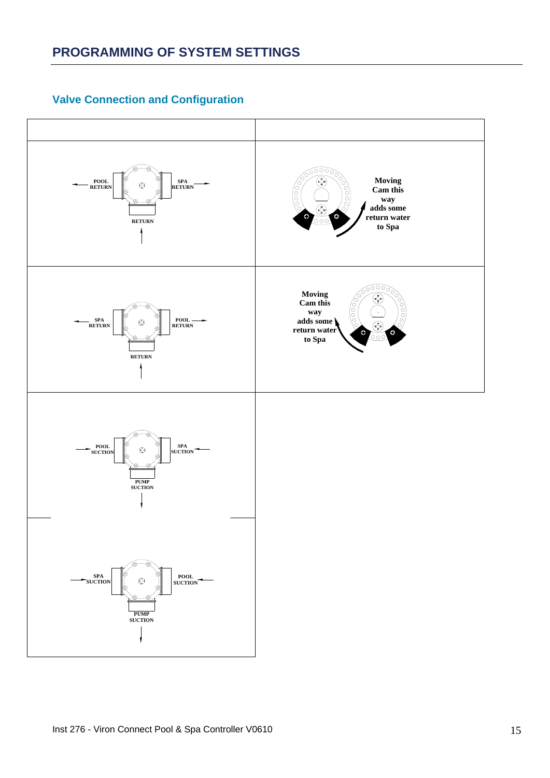## **Valve Connection and Configuration**

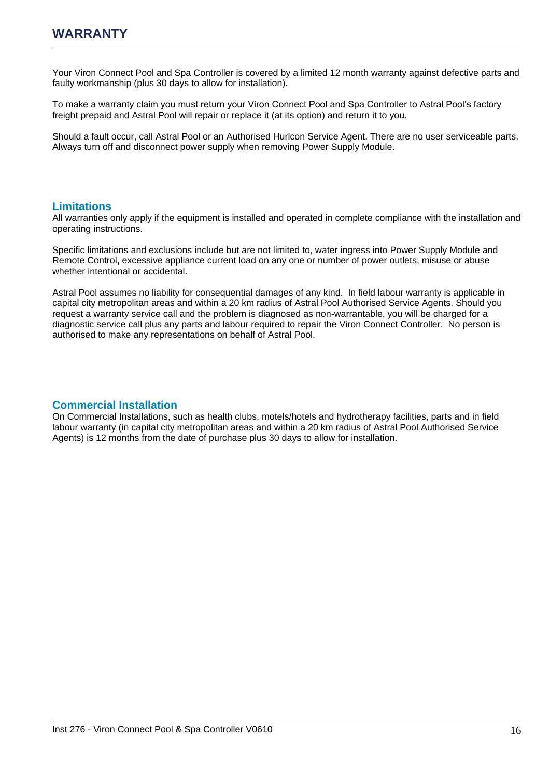Your Viron Connect Pool and Spa Controller is covered by a limited 12 month warranty against defective parts and faulty workmanship (plus 30 days to allow for installation).

To make a warranty claim you must return your Viron Connect Pool and Spa Controller to Astral Pool"s factory freight prepaid and Astral Pool will repair or replace it (at its option) and return it to you.

Should a fault occur, call Astral Pool or an Authorised Hurlcon Service Agent. There are no user serviceable parts. Always turn off and disconnect power supply when removing Power Supply Module.

#### **Limitations**

All warranties only apply if the equipment is installed and operated in complete compliance with the installation and operating instructions.

Specific limitations and exclusions include but are not limited to, water ingress into Power Supply Module and Remote Control, excessive appliance current load on any one or number of power outlets, misuse or abuse whether intentional or accidental.

Astral Pool assumes no liability for consequential damages of any kind. In field labour warranty is applicable in capital city metropolitan areas and within a 20 km radius of Astral Pool Authorised Service Agents. Should you request a warranty service call and the problem is diagnosed as non-warrantable, you will be charged for a diagnostic service call plus any parts and labour required to repair the Viron Connect Controller. No person is authorised to make any representations on behalf of Astral Pool.

#### **Commercial Installation**

On Commercial Installations, such as health clubs, motels/hotels and hydrotherapy facilities, parts and in field labour warranty (in capital city metropolitan areas and within a 20 km radius of Astral Pool Authorised Service Agents) is 12 months from the date of purchase plus 30 days to allow for installation.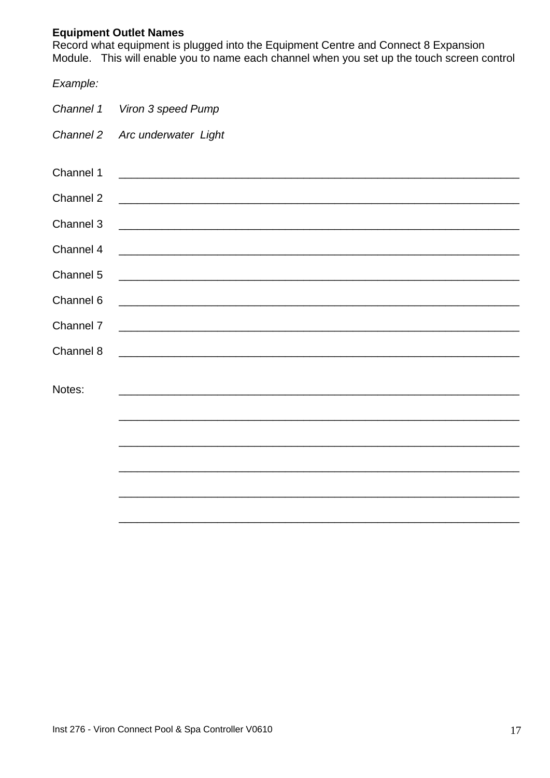## **Equipment Outlet Names**

Equipment Catter Names<br>Record what equipment is plugged into the Equipment Centre and Connect 8 Expansion<br>Module. This will enable you to name each channel when you set up the touch screen control

| Example:  |                                                                   |  |  |  |  |  |  |  |
|-----------|-------------------------------------------------------------------|--|--|--|--|--|--|--|
| Channel 1 | Viron 3 speed Pump                                                |  |  |  |  |  |  |  |
| Channel 2 | Arc underwater Light                                              |  |  |  |  |  |  |  |
|           |                                                                   |  |  |  |  |  |  |  |
| Channel 1 |                                                                   |  |  |  |  |  |  |  |
| Channel 2 |                                                                   |  |  |  |  |  |  |  |
| Channel 3 | <u> 1989 - Johann Stoff, amerikansk politiker (d. 1989)</u>       |  |  |  |  |  |  |  |
| Channel 4 | <u> 1989 - Johann Stoff, amerikansk politiker (d. 1989)</u>       |  |  |  |  |  |  |  |
| Channel 5 |                                                                   |  |  |  |  |  |  |  |
| Channel 6 |                                                                   |  |  |  |  |  |  |  |
| Channel 7 | <u> 1989 - Johann John Stone, mars eta biztanleria (h. 1989).</u> |  |  |  |  |  |  |  |
| Channel 8 | <u> 1989 - Johann Stoff, amerikansk politiker (d. 1989)</u>       |  |  |  |  |  |  |  |
|           |                                                                   |  |  |  |  |  |  |  |
| Notes:    |                                                                   |  |  |  |  |  |  |  |
|           |                                                                   |  |  |  |  |  |  |  |
|           |                                                                   |  |  |  |  |  |  |  |
|           |                                                                   |  |  |  |  |  |  |  |
|           |                                                                   |  |  |  |  |  |  |  |
|           |                                                                   |  |  |  |  |  |  |  |